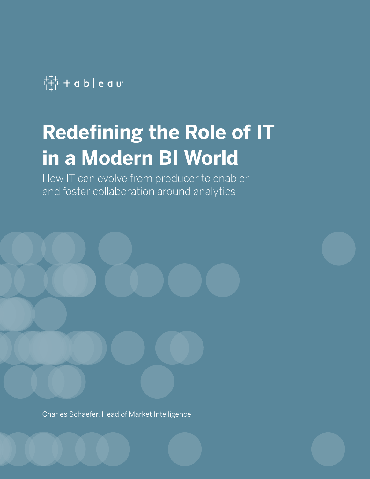

# **Redefining the Role of IT in a Modern BI World**

How IT can evolve from producer to enabler and foster collaboration around analytics



Charles Schaefer, Head of Market Intelligence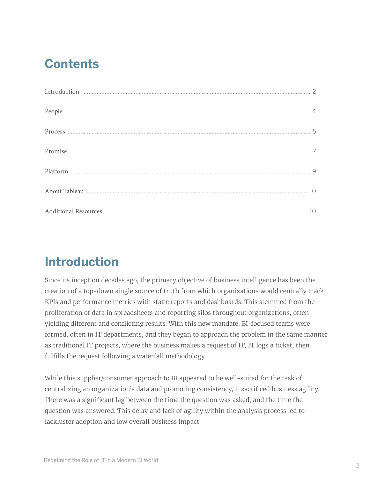## **Contents**

## **Introduction**

Since its inception decades ago, the primary objective of business intelligence has been the creation of a top-down single source of truth from which organizations would centrally track KPIs and performance metrics with static reports and dashboards. This stemmed from the proliferation of data in spreadsheets and reporting silos throughout organizations, often yielding different and conflicting results. With this new mandate, BI-focused teams were formed, often in IT departments, and they began to approach the problem in the same manner as traditional IT projects, where the business makes a request of IT, IT logs a ticket, then fulfills the request following a waterfall methodology.

While this supplier/consumer approach to BI appeared to be well-suited for the task of centralizing an organization's data and promoting consistency, it sacrificed business agility. There was a significant lag between the time the question was asked, and the time the question was answered. This delay and lack of agility within the analysis process led to lackluster adoption and low overall business impact.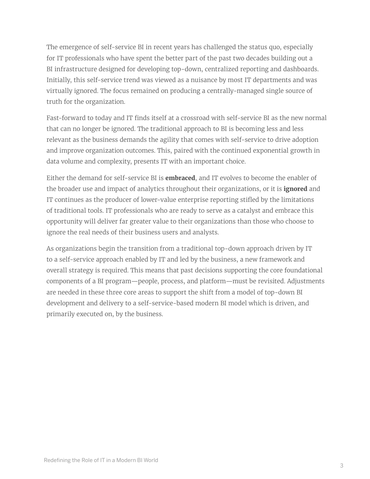The emergence of self-service BI in recent years has challenged the status quo, especially for IT professionals who have spent the better part of the past two decades building out a BI infrastructure designed for developing top-down, centralized reporting and dashboards. Initially, this self-service trend was viewed as a nuisance by most IT departments and was virtually ignored. The focus remained on producing a centrally-managed single source of truth for the organization.

Fast-forward to today and IT finds itself at a crossroad with self-service BI as the new normal that can no longer be ignored. The traditional approach to BI is becoming less and less relevant as the business demands the agility that comes with self-service to drive adoption and improve organization outcomes. This, paired with the continued exponential growth in data volume and complexity, presents IT with an important choice.

Either the demand for self-service BI is **embraced**, and IT evolves to become the enabler of the broader use and impact of analytics throughout their organizations, or it is **ignored** and IT continues as the producer of lower-value enterprise reporting stifled by the limitations of traditional tools. IT professionals who are ready to serve as a catalyst and embrace this opportunity will deliver far greater value to their organizations than those who choose to ignore the real needs of their business users and analysts.

As organizations begin the transition from a traditional top-down approach driven by IT to a self-service approach enabled by IT and led by the business, a new framework and overall strategy is required. This means that past decisions supporting the core foundational components of a BI program—people, process, and platform—must be revisited. Adjustments are needed in these three core areas to support the shift from a model of top-down BI development and delivery to a self-service-based modern BI model which is driven, and primarily executed on, by the business.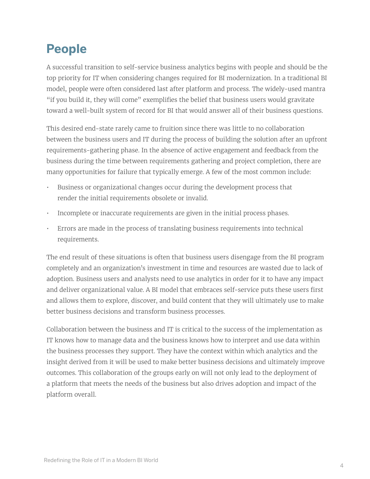## **People**

A successful transition to self-service business analytics begins with people and should be the top priority for IT when considering changes required for BI modernization. In a traditional BI model, people were often considered last after platform and process. The widely-used mantra "if you build it, they will come" exemplifies the belief that business users would gravitate toward a well-built system of record for BI that would answer all of their business questions.

This desired end-state rarely came to fruition since there was little to no collaboration between the business users and IT during the process of building the solution after an upfront requirements-gathering phase. In the absence of active engagement and feedback from the business during the time between requirements gathering and project completion, there are many opportunities for failure that typically emerge. A few of the most common include:

- Business or organizational changes occur during the development process that render the initial requirements obsolete or invalid.
- Incomplete or inaccurate requirements are given in the initial process phases.
- Errors are made in the process of translating business requirements into technical requirements.

The end result of these situations is often that business users disengage from the BI program completely and an organization's investment in time and resources are wasted due to lack of adoption. Business users and analysts need to use analytics in order for it to have any impact and deliver organizational value. A BI model that embraces self-service puts these users first and allows them to explore, discover, and build content that they will ultimately use to make better business decisions and transform business processes.

Collaboration between the business and IT is critical to the success of the implementation as IT knows how to manage data and the business knows how to interpret and use data within the business processes they support. They have the context within which analytics and the insight derived from it will be used to make better business decisions and ultimately improve outcomes. This collaboration of the groups early on will not only lead to the deployment of a platform that meets the needs of the business but also drives adoption and impact of the platform overall.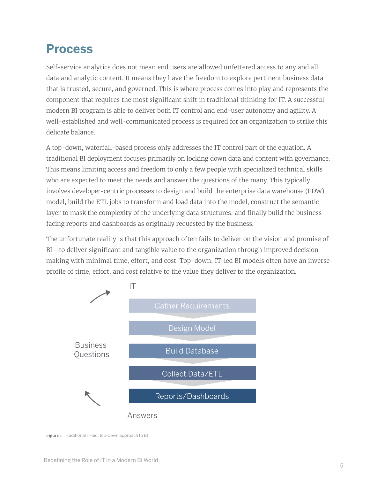#### **Process**

Self-service analytics does not mean end users are allowed unfettered access to any and all data and analytic content. It means they have the freedom to explore pertinent business data that is trusted, secure, and governed. This is where process comes into play and represents the component that requires the most significant shift in traditional thinking for IT. A successful modern BI program is able to deliver both IT control and end-user autonomy and agility. A well-established and well-communicated process is required for an organization to strike this delicate balance.

A top-down, waterfall-based process only addresses the IT control part of the equation. A traditional BI deployment focuses primarily on locking down data and content with governance. This means limiting access and freedom to only a few people with specialized technical skills who are expected to meet the needs and answer the questions of the many. This typically involves developer-centric processes to design and build the enterprise data warehouse (EDW) model, build the ETL jobs to transform and load data into the model, construct the semantic layer to mask the complexity of the underlying data structures, and finally build the businessfacing reports and dashboards as originally requested by the business.

The unfortunate reality is that this approach often fails to deliver on the vision and promise of BI—to deliver significant and tangible value to the organization through improved decisionmaking with minimal time, effort, and cost. Top-down, IT-led BI models often have an inverse profile of time, effort, and cost relative to the value they deliver to the organization.



Figure 1 Traditional IT-led, top-down approach to BI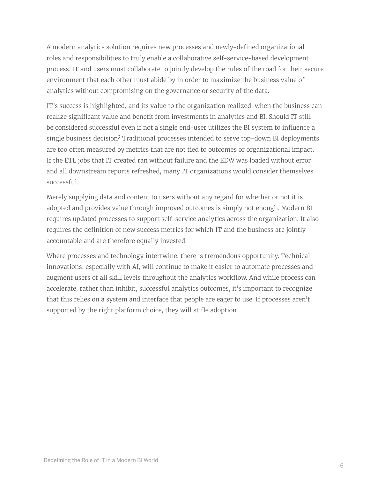A modern analytics solution requires new processes and newly-defined organizational roles and responsibilities to truly enable a collaborative self-service-based development process. IT and users must collaborate to jointly develop the rules of the road for their secure environment that each other must abide by in order to maximize the business value of analytics without compromising on the governance or security of the data.

IT's success is highlighted, and its value to the organization realized, when the business can realize significant value and benefit from investments in analytics and BI. Should IT still be considered successful even if not a single end-user utilizes the BI system to influence a single business decision? Traditional processes intended to serve top-down BI deployments are too often measured by metrics that are not tied to outcomes or organizational impact. If the ETL jobs that IT created ran without failure and the EDW was loaded without error and all downstream reports refreshed, many IT organizations would consider themselves successful.

Merely supplying data and content to users without any regard for whether or not it is adopted and provides value through improved outcomes is simply not enough. Modern BI requires updated processes to support self-service analytics across the organization. It also requires the definition of new success metrics for which IT and the business are jointly accountable and are therefore equally invested.

Where processes and technology intertwine, there is tremendous opportunity. Technical innovations, especially with AI, will continue to make it easier to automate processes and augment users of all skill levels throughout the analytics workflow. And while process can accelerate, rather than inhibit, successful analytics outcomes, it's important to recognize that this relies on a system and interface that people are eager to use. If processes aren't supported by the right platform choice, they will stifle adoption.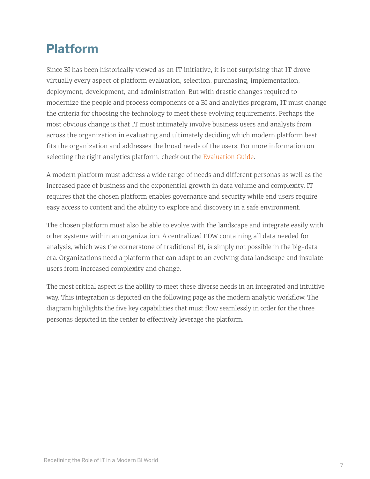## **Platform**

Since BI has been historically viewed as an IT initiative, it is not surprising that IT drove virtually every aspect of platform evaluation, selection, purchasing, implementation, deployment, development, and administration. But with drastic changes required to modernize the people and process components of a BI and analytics program, IT must change the criteria for choosing the technology to meet these evolving requirements. Perhaps the most obvious change is that IT must intimately involve business users and analysts from across the organization in evaluating and ultimately deciding which modern platform best fits the organization and addresses the broad needs of the users. For more information on selecting the right analytics platform, check out the [Evaluation Guide.](https://www.tableau.com/asset/evaluation-guide-how-choose-right-modern-bi-analytics-platform)

A modern platform must address a wide range of needs and different personas as well as the increased pace of business and the exponential growth in data volume and complexity. IT requires that the chosen platform enables governance and security while end users require easy access to content and the ability to explore and discovery in a safe environment.

The chosen platform must also be able to evolve with the landscape and integrate easily with other systems within an organization. A centralized EDW containing all data needed for analysis, which was the cornerstone of traditional BI, is simply not possible in the big-data era. Organizations need a platform that can adapt to an evolving data landscape and insulate users from increased complexity and change.

The most critical aspect is the ability to meet these diverse needs in an integrated and intuitive way. This integration is depicted on the following page as the modern analytic workflow. The diagram highlights the five key capabilities that must flow seamlessly in order for the three personas depicted in the center to effectively leverage the platform.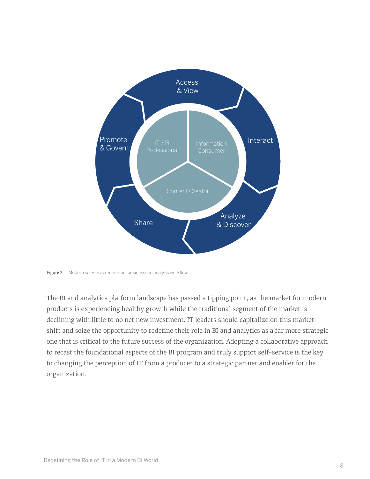

Figure 2 Modern self-service-oriented, business-led analytic workflow

The BI and analytics platform landscape has passed a tipping point, as the market for modern products is experiencing healthy growth while the traditional segment of the market is declining with little to no net new investment. IT leaders should capitalize on this market shift and seize the opportunity to redefine their role in BI and analytics as a far more strategic one that is critical to the future success of the organization. Adopting a collaborative approach to recast the foundational aspects of the BI program and truly support self-service is the key to changing the perception of IT from a producer to a strategic partner and enabler for the organization.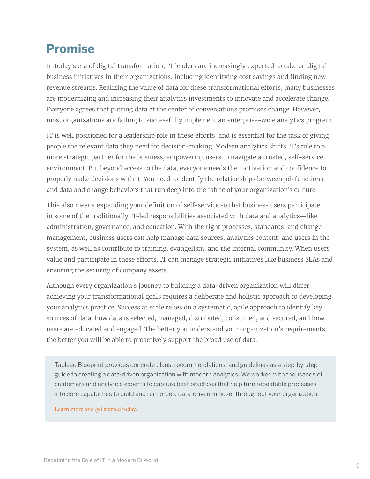#### **Promise**

In today's era of digital transformation, IT leaders are increasingly expected to take on digital business initiatives in their organizations, including identifying cost savings and finding new revenue streams. Realizing the value of data for these transformational efforts, many businesses are modernizing and increasing their analytics investments to innovate and accelerate change. Everyone agrees that putting data at the center of conversations promises change. However, most organizations are failing to successfully implement an enterprise-wide analytics program.

IT is well positioned for a leadership role in these efforts, and is essential for the task of giving people the relevant data they need for decision-making. Modern analytics shifts IT's role to a more strategic partner for the business, empowering users to navigate a trusted, self-service environment. But beyond access to the data, everyone needs the motivation and confidence to properly make decisions with it. You need to identify the relationships between job functions and data and change behaviors that run deep into the fabric of your organization's culture.

This also means expanding your definition of self-service so that business users participate in some of the traditionally IT-led responsibilities associated with data and analytics—like administration, governance, and education. With the right processes, standards, and change management, business users can help manage data sources, analytics content, and users in the system, as well as contribute to training, evangelism, and the internal community. When users value and participate in these efforts, IT can manage strategic initiatives like business SLAs and ensuring the security of company assets.

Although every organization's journey to building a data-driven organization will differ, achieving your transformational goals requires a deliberate and holistic approach to developing your analytics practice. Success at scale relies on a systematic, agile approach to identify key sources of data, how data is selected, managed, distributed, consumed, and secured, and how users are educated and engaged. The better you understand your organization's requirements, the better you will be able to proactively support the broad use of data.

Tableau Blueprint provides concrete plans, recommendations, and guidelines as a step-by-step guide to creating a data-driven organization with modern analytics. We worked with thousands of customers and analytics experts to capture best practices that help turn repeatable processes into core capabilities to build and reinforce a data-driven mindset throughout your organization.

[Learn more and get started today.](https://www.tableau.com/learn/data-culture)